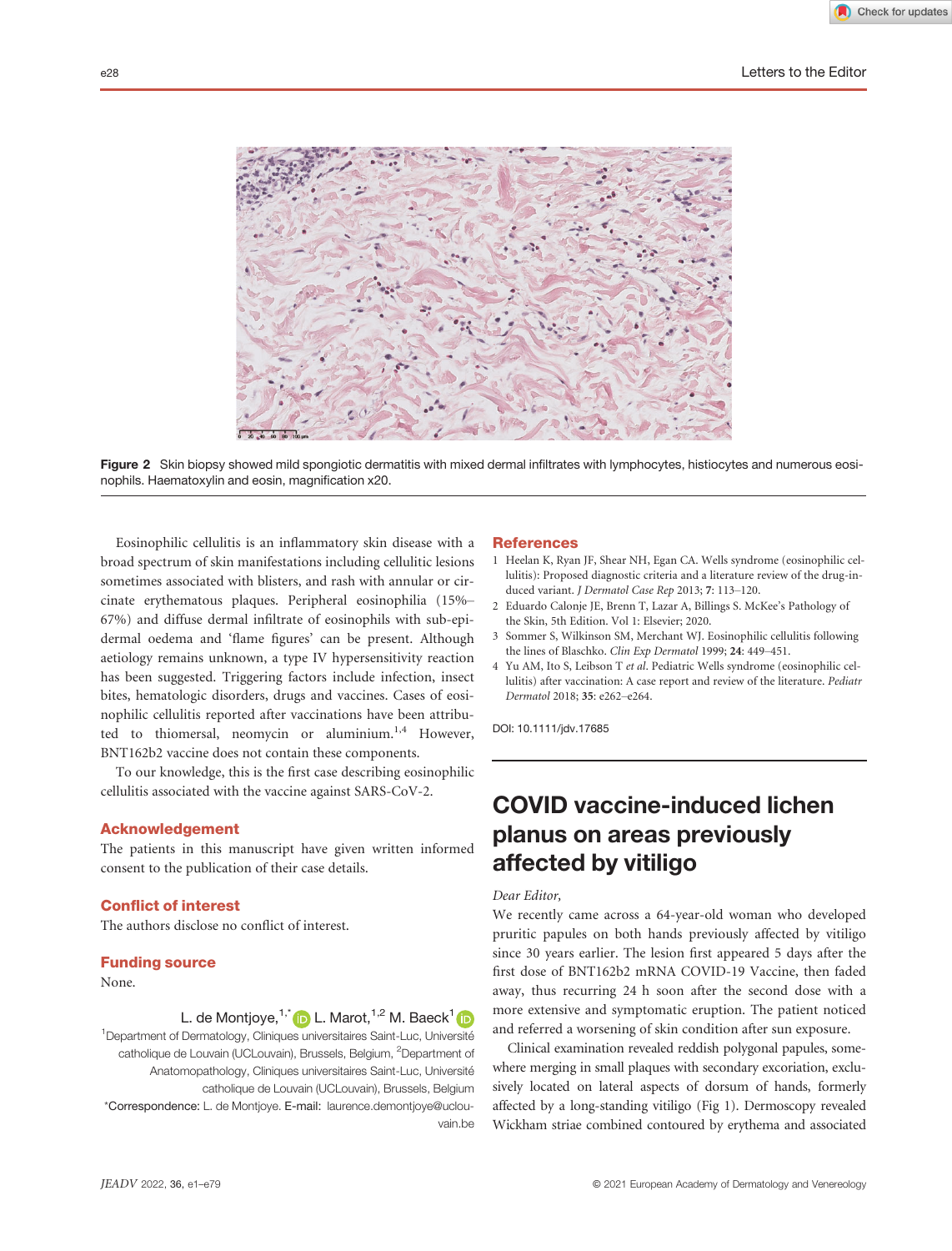

Figure 2 Skin biopsy showed mild spongiotic dermatitis with mixed dermal infiltrates with lymphocytes, histiocytes and numerous eosinophils. Haematoxylin and eosin, magnification x20.

Eosinophilic cellulitis is an inflammatory skin disease with a broad spectrum of skin manifestations including cellulitic lesions sometimes associated with blisters, and rash with annular or circinate erythematous plaques. Peripheral eosinophilia (15%– 67%) and diffuse dermal infiltrate of eosinophils with sub-epidermal oedema and 'flame figures' can be present. Although aetiology remains unknown, a type IV hypersensitivity reaction has been suggested. Triggering factors include infection, insect bites, hematologic disorders, drugs and vaccines. Cases of eosinophilic cellulitis reported after vaccinations have been attributed to thiomersal, neomycin or aluminium.<sup>1,4</sup> However, BNT162b2 vaccine does not contain these components.

To our knowledge, this is the first case describing eosinophilic cellulitis associated with the vaccine against SARS-CoV-2.

#### Acknowledgement

The patients in this manuscript have given written informed consent to the publication of their case details.

## Conflict of interest

The authors disclose no conflict of interest.

### Funding source

None.

L. de Montjoye,<sup>1,\*</sup> D L. Marot,<sup>1,2</sup> M. Baeck<sup>1</sup> D

<sup>1</sup>Department of Dermatology, Cliniques universitaires Saint-Luc, Université ipartment of Dermatology, Cliniques universitaires Saint-Luc, Université<br>catholique de Louvain (UCLouvain), Brussels, Belgium, <sup>2</sup>Department of Anatomopathology, Cliniques universitaires Saint-Luc, Universit ecatholique de Louvain (UCLouvain), Brussels, Belgium \*Correspondence: L. de Montjoye. E-mail: laurence.demontjoye@uclouvain.be

#### **References**

- 1 Heelan K, Ryan JF, Shear NH, Egan CA. Wells syndrome (eosinophilic cellulitis): Proposed diagnostic criteria and a literature review of the drug-induced variant. J Dermatol Case Rep 2013; 7: 113–120.
- 2 Eduardo Calonje JE, Brenn T, Lazar A, Billings S. McKee's Pathology of the Skin, 5th Edition. Vol 1: Elsevier; 2020.
- 3 Sommer S, Wilkinson SM, Merchant WJ. Eosinophilic cellulitis following the lines of Blaschko. Clin Exp Dermatol 1999; 24: 449–451.
- 4 Yu AM, Ito S, Leibson T et al. Pediatric Wells syndrome (eosinophilic cellulitis) after vaccination: A case report and review of the literature. Pediatr Dermatol 2018; 35: e262–e264.

DOI: 10.1111/jdv.17685

# COVID vaccine-induced lichen planus on areas previously affected by vitiligo

#### Dear Editor,

We recently came across a 64-year-old woman who developed pruritic papules on both hands previously affected by vitiligo since 30 years earlier. The lesion first appeared 5 days after the first dose of BNT162b2 mRNA COVID-19 Vaccine, then faded away, thus recurring 24 h soon after the second dose with a more extensive and symptomatic eruption. The patient noticed and referred a worsening of skin condition after sun exposure.

Clinical examination revealed reddish polygonal papules, somewhere merging in small plaques with secondary excoriation, exclusively located on lateral aspects of dorsum of hands, formerly affected by a long-standing vitiligo (Fig 1). Dermoscopy revealed Wickham striae combined contoured by erythema and associated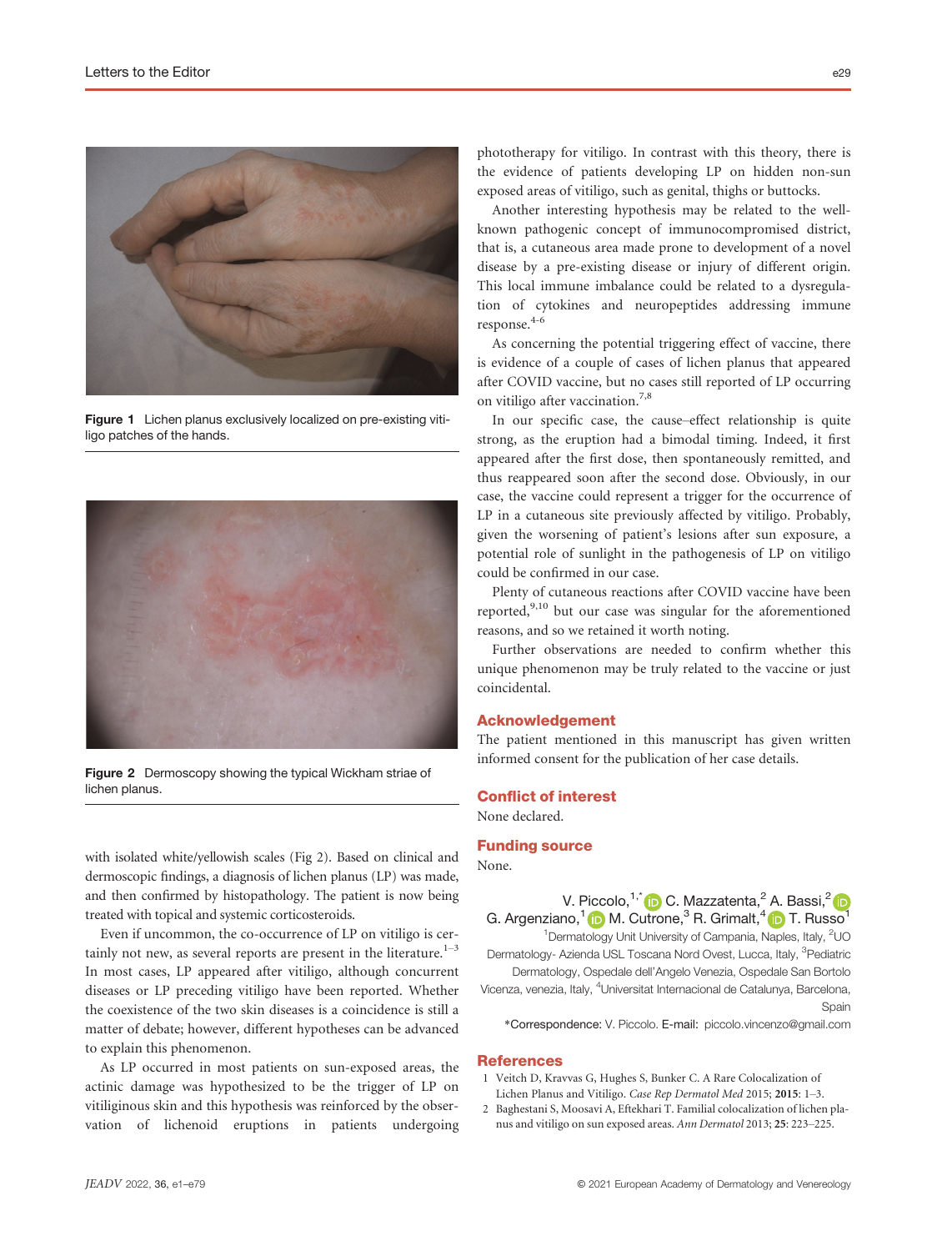

Figure 1 Lichen planus exclusively localized on pre-existing vitiligo patches of the hands.



Figure 2 Dermoscopy showing the typical Wickham striae of lichen planus.

with isolated white/yellowish scales (Fig 2). Based on clinical and dermoscopic findings, a diagnosis of lichen planus (LP) was made, and then confirmed by histopathology. The patient is now being treated with topical and systemic corticosteroids.

Even if uncommon, the co-occurrence of LP on vitiligo is certainly not new, as several reports are present in the literature. $1-3$ In most cases, LP appeared after vitiligo, although concurrent diseases or LP preceding vitiligo have been reported. Whether the coexistence of the two skin diseases is a coincidence is still a matter of debate; however, different hypotheses can be advanced to explain this phenomenon.

As LP occurred in most patients on sun-exposed areas, the actinic damage was hypothesized to be the trigger of LP on vitiliginous skin and this hypothesis was reinforced by the observation of lichenoid eruptions in patients undergoing phototherapy for vitiligo. In contrast with this theory, there is the evidence of patients developing LP on hidden non-sun exposed areas of vitiligo, such as genital, thighs or buttocks.

Another interesting hypothesis may be related to the wellknown pathogenic concept of immunocompromised district, that is, a cutaneous area made prone to development of a novel disease by a pre-existing disease or injury of different origin. This local immune imbalance could be related to a dysregulation of cytokines and neuropeptides addressing immune response.4-6

As concerning the potential triggering effect of vaccine, there is evidence of a couple of cases of lichen planus that appeared after COVID vaccine, but no cases still reported of LP occurring on vitiligo after vaccination.7,8

In our specific case, the cause–effect relationship is quite strong, as the eruption had a bimodal timing. Indeed, it first appeared after the first dose, then spontaneously remitted, and thus reappeared soon after the second dose. Obviously, in our case, the vaccine could represent a trigger for the occurrence of LP in a cutaneous site previously affected by vitiligo. Probably, given the worsening of patient's lesions after sun exposure, a potential role of sunlight in the pathogenesis of LP on vitiligo could be confirmed in our case.

Plenty of cutaneous reactions after COVID vaccine have been reported, $9,10$  but our case was singular for the aforementioned reasons, and so we retained it worth noting.

Further observations are needed to confirm whether this unique phenomenon may be truly related to the vaccine or just coincidental.

## Acknowledgement

The patient mentioned in this manuscript has given written informed consent for the publication of her case details.

### Conflict of interest

None declared.

## Funding source

None.

V. Piccolo,  $1,^*$  (D C. Mazzatenta, <sup>2</sup> A. Bassi, <sup>2</sup> (D G. Argenziano, $1\bullet$  M. Cutrone,<sup>3</sup> R. Grimalt, $4\bullet$  T. Russo

<sup>1</sup> Dermatology Unit University of Campania, Naples, Italy, <sup>2</sup>UC Dermatology- Azienda USL Toscana Nord Ovest, Lucca, Italy, <sup>3</sup>Pediatric

Dermatology, Ospedale dell'Angelo Venezia, Ospedale San Bortolo Vicenza, venezia, Italy, <sup>4</sup>Universitat Internacional de Catalunya, Barcelona, Spain

\*Correspondence: V. Piccolo. E-mail: piccolo.vincenzo@gmail.com

#### References

- 1 Veitch D, Kravvas G, Hughes S, Bunker C. A Rare Colocalization of Lichen Planus and Vitiligo. Case Rep Dermatol Med 2015; 2015: 1–3.
- 2 Baghestani S, Moosavi A, Eftekhari T. Familial colocalization of lichen planus and vitiligo on sun exposed areas. Ann Dermatol 2013; 25: 223–225.